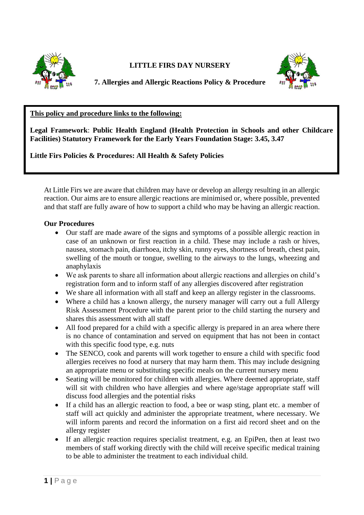

**LITTLE FIRS DAY NURSERY**



**7. Allergies and Allergic Reactions Policy & Procedure**

## **This policy and procedure links to the following:**

**Legal Framework**: **Public Health England (Health Protection in Schools and other Childcare Facilities) Statutory Framework for the Early Years Foundation Stage: 3.45, 3.47**

**Little Firs Policies & Procedures: All Health & Safety Policies**

At Little Firs we are aware that children may have or develop an allergy resulting in an allergic reaction. Our aims are to ensure allergic reactions are minimised or, where possible, prevented and that staff are fully aware of how to support a child who may be having an allergic reaction.

## **Our Procedures**

- Our staff are made aware of the signs and symptoms of a possible allergic reaction in case of an unknown or first reaction in a child. These may include a rash or hives, nausea, stomach pain, diarrhoea, itchy skin, runny eyes, shortness of breath, chest pain, swelling of the mouth or tongue, swelling to the airways to the lungs, wheezing and anaphylaxis
- We ask parents to share all information about allergic reactions and allergies on child's registration form and to inform staff of any allergies discovered after registration
- We share all information with all staff and keep an allergy register in the classrooms.
- Where a child has a known allergy, the nursery manager will carry out a full Allergy Risk Assessment Procedure with the parent prior to the child starting the nursery and shares this assessment with all staff
- All food prepared for a child with a specific allergy is prepared in an area where there is no chance of contamination and served on equipment that has not been in contact with this specific food type, e.g. nuts
- The SENCO, cook and parents will work together to ensure a child with specific food allergies receives no food at nursery that may harm them. This may include designing an appropriate menu or substituting specific meals on the current nursery menu
- Seating will be monitored for children with allergies. Where deemed appropriate, staff will sit with children who have allergies and where age/stage appropriate staff will discuss food allergies and the potential risks
- If a child has an allergic reaction to food, a bee or wasp sting, plant etc. a member of staff will act quickly and administer the appropriate treatment, where necessary. We will inform parents and record the information on a first aid record sheet and on the allergy register
- If an allergic reaction requires specialist treatment, e.g. an EpiPen, then at least two members of staff working directly with the child will receive specific medical training to be able to administer the treatment to each individual child.